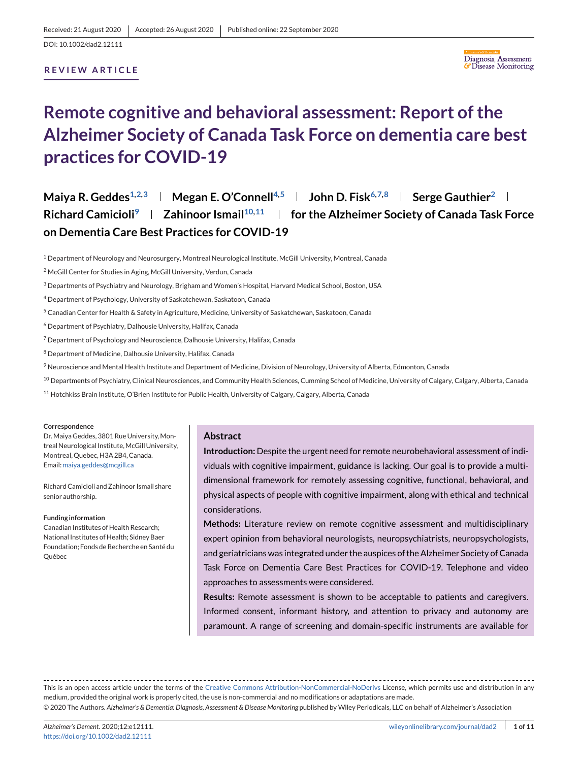# **REVIEW ARTICLE**



# **Remote cognitive and behavioral assessment: Report of the Alzheimer Society of Canada Task Force on dementia care best practices for COVID-19**

# **Maiya R. Geddes**<sup>1,2,3</sup> | Megan E. O'Connell<sup>4,5</sup> | John D. Fisk<sup>6,7,8</sup> | Serge Gauthier<sup>2</sup> | Richard Camicioli<sup>9</sup> **Zahinoor Ismail**<sup>10,11</sup> **for the Alzheimer Society of Canada Task Force on Dementia Care Best Practices for COVID-19**

<sup>1</sup> Department of Neurology and Neurosurgery, Montreal Neurological Institute, McGill University, Montreal, Canada

- <sup>3</sup> Departments of Psychiatry and Neurology, Brigham and Women's Hospital, Harvard Medical School, Boston, USA
- <sup>4</sup> Department of Psychology, University of Saskatchewan, Saskatoon, Canada
- <sup>5</sup> Canadian Center for Health & Safety in Agriculture, Medicine, University of Saskatchewan, Saskatoon, Canada
- <sup>6</sup> Department of Psychiatry, Dalhousie University, Halifax, Canada
- <sup>7</sup> Department of Psychology and Neuroscience, Dalhousie University, Halifax, Canada
- <sup>8</sup> Department of Medicine, Dalhousie University, Halifax, Canada
- <sup>9</sup> Neuroscience and Mental Health Institute and Department of Medicine, Division of Neurology, University of Alberta, Edmonton, Canada
- <sup>10</sup> Departments of Psychiatry, Clinical Neurosciences, and Community Health Sciences, Cumming School of Medicine, University of Calgary, Calgary, Alberta, Canada
- <sup>11</sup> Hotchkiss Brain Institute, O'Brien Institute for Public Health, University of Calgary, Calgary, Alberta, Canada

#### **Correspondence**

Dr. Maiya Geddes, 3801 Rue University, Montreal Neurological Institute,McGill University, Montreal, Quebec, H3A 2B4, Canada. Email: [maiya.geddes@mcgill.ca](mailto:maiya.geddes@mcgill.ca)

Richard Camicioli and Zahinoor Ismail share senior authorship.

#### **Funding information**

Canadian Institutes of Health Research; National Institutes of Health; Sidney Baer Foundation; Fonds de Recherche en Santé du Québec

# **Abstract**

**Introduction:** Despite the urgent need for remote neurobehavioral assessment of individuals with cognitive impairment, guidance is lacking. Our goal is to provide a multidimensional framework for remotely assessing cognitive, functional, behavioral, and physical aspects of people with cognitive impairment, along with ethical and technical considerations.

**Methods:** Literature review on remote cognitive assessment and multidisciplinary expert opinion from behavioral neurologists, neuropsychiatrists, neuropsychologists, and geriatricians was integrated under the auspices of the Alzheimer Society of Canada Task Force on Dementia Care Best Practices for COVID-19. Telephone and video approaches to assessments were considered.

**Results:** Remote assessment is shown to be acceptable to patients and caregivers. Informed consent, informant history, and attention to privacy and autonomy are paramount. A range of screening and domain-specific instruments are available for

This is an open access article under the terms of the [Creative Commons Attribution-NonCommercial-NoDerivs](http://creativecommons.org/licenses/by-nc-nd/4.0/) License, which permits use and distribution in any medium, provided the original work is properly cited, the use is non-commercial and no modifications or adaptations are made. © 2020 The Authors. *Alzheimer's & Dementia: Diagnosis, Assessment & Disease Monitoring* published by Wiley Periodicals, LLC on behalf of Alzheimer's Association

<sup>2</sup> McGill Center for Studies in Aging, McGill University, Verdun, Canada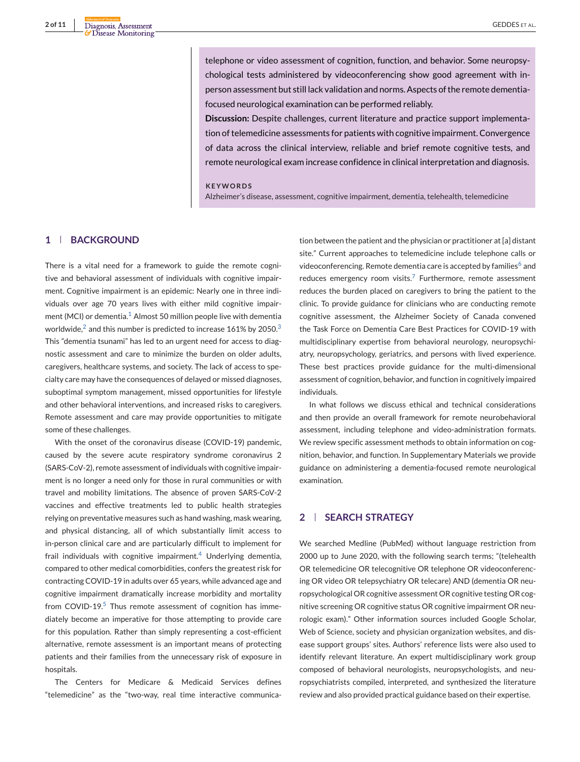telephone or video assessment of cognition, function, and behavior. Some neuropsychological tests administered by videoconferencing show good agreement with inperson assessment but still lack validation and norms. Aspects of the remote dementiafocused neurological examination can be performed reliably.

**Discussion:** Despite challenges, current literature and practice support implementation of telemedicine assessments for patients with cognitive impairment. Convergence of data across the clinical interview, reliable and brief remote cognitive tests, and remote neurological exam increase confidence in clinical interpretation and diagnosis.

#### **KEYWORDS**

Alzheimer's disease, assessment, cognitive impairment, dementia, telehealth, telemedicine

# **1 BACKGROUND**

There is a vital need for a framework to guide the remote cognitive and behavioral assessment of individuals with cognitive impairment. Cognitive impairment is an epidemic: Nearly one in three individuals over age 70 years lives with either mild cognitive impairment (MCI) or dementia. $1$  Almost 50 million people live with dementia worldwide, $^2$  $^2$  and this number is predicted to increase 161% by 2050. $^3$  $^3$ This "dementia tsunami" has led to an urgent need for access to diagnostic assessment and care to minimize the burden on older adults, caregivers, healthcare systems, and society. The lack of access to specialty care may have the consequences of delayed or missed diagnoses, suboptimal symptom management, missed opportunities for lifestyle and other behavioral interventions, and increased risks to caregivers. Remote assessment and care may provide opportunities to mitigate some of these challenges.

With the onset of the coronavirus disease (COVID-19) pandemic, caused by the severe acute respiratory syndrome coronavirus 2 (SARS-CoV-2), remote assessment of individuals with cognitive impairment is no longer a need only for those in rural communities or with travel and mobility limitations. The absence of proven SARS-CoV-2 vaccines and effective treatments led to public health strategies relying on preventative measures such as hand washing, mask wearing, and physical distancing, all of which substantially limit access to in-person clinical care and are particularly difficult to implement for frail individuals with cognitive impairment.<sup>[4](#page-8-0)</sup> Underlying dementia, compared to other medical comorbidities, confers the greatest risk for contracting COVID-19 in adults over 65 years, while advanced age and cognitive impairment dramatically increase morbidity and mortality from COVID-19.<sup>[5](#page-8-0)</sup> Thus remote assessment of cognition has immediately become an imperative for those attempting to provide care for this population. Rather than simply representing a cost-efficient alternative, remote assessment is an important means of protecting patients and their families from the unnecessary risk of exposure in hospitals.

The Centers for Medicare & Medicaid Services defines "telemedicine" as the "two-way, real time interactive communica-

tion between the patient and the physician or practitioner at [a] distant site." Current approaches to telemedicine include telephone calls or videoconferencing. Remote dementia care is accepted by families<sup>[6](#page-8-0)</sup> and reduces emergency room visits.<sup>[7](#page-8-0)</sup> Furthermore, remote assessment reduces the burden placed on caregivers to bring the patient to the clinic. To provide guidance for clinicians who are conducting remote cognitive assessment, the Alzheimer Society of Canada convened the Task Force on Dementia Care Best Practices for COVID-19 with multidisciplinary expertise from behavioral neurology, neuropsychiatry, neuropsychology, geriatrics, and persons with lived experience. These best practices provide guidance for the multi-dimensional assessment of cognition, behavior, and function in cognitively impaired individuals.

In what follows we discuss ethical and technical considerations and then provide an overall framework for remote neurobehavioral assessment, including telephone and video-administration formats. We review specific assessment methods to obtain information on cognition, behavior, and function. In Supplementary Materials we provide guidance on administering a dementia-focused remote neurological examination.

# **2 SEARCH STRATEGY**

We searched Medline (PubMed) without language restriction from 2000 up to June 2020, with the following search terms; "(telehealth OR telemedicine OR telecognitive OR telephone OR videoconferencing OR video OR telepsychiatry OR telecare) AND (dementia OR neuropsychological OR cognitive assessment OR cognitive testing OR cognitive screening OR cognitive status OR cognitive impairment OR neurologic exam)." Other information sources included Google Scholar, Web of Science, society and physician organization websites, and disease support groups' sites. Authors' reference lists were also used to identify relevant literature. An expert multidisciplinary work group composed of behavioral neurologists, neuropsychologists, and neuropsychiatrists compiled, interpreted, and synthesized the literature review and also provided practical guidance based on their expertise.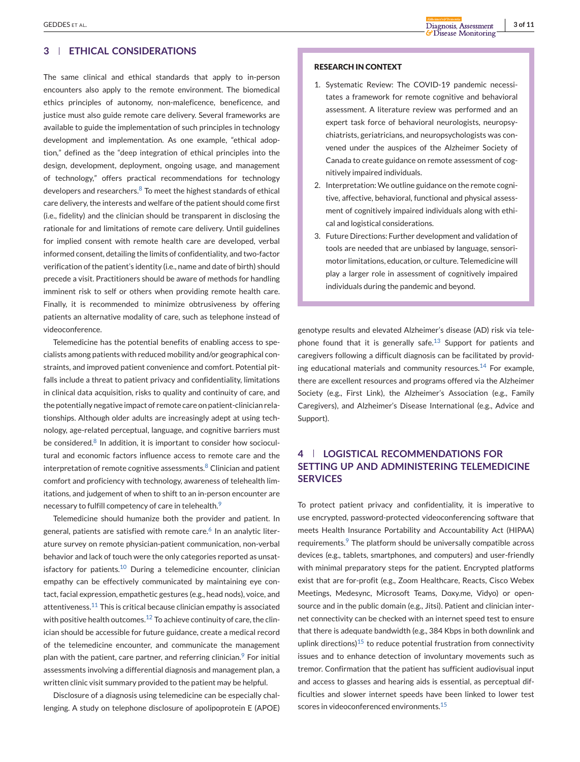GEDDES ET AL. **3 of 11**<br> **3 of 11**<br> **3 of 11** 

# **3 ETHICAL CONSIDERATIONS**

The same clinical and ethical standards that apply to in-person encounters also apply to the remote environment. The biomedical ethics principles of autonomy, non-maleficence, beneficence, and justice must also guide remote care delivery. Several frameworks are available to guide the implementation of such principles in technology development and implementation. As one example, "ethical adoption," defined as the "deep integration of ethical principles into the design, development, deployment, ongoing usage, and management of technology," offers practical recommendations for technology developers and researchers. $8$  To meet the highest standards of ethical care delivery, the interests and welfare of the patient should come first (i.e., fidelity) and the clinician should be transparent in disclosing the rationale for and limitations of remote care delivery. Until guidelines for implied consent with remote health care are developed, verbal informed consent, detailing the limits of confidentiality, and two-factor verification of the patient's identity (i.e., name and date of birth) should precede a visit. Practitioners should be aware of methods for handling imminent risk to self or others when providing remote health care. Finally, it is recommended to minimize obtrusiveness by offering patients an alternative modality of care, such as telephone instead of videoconference.

Telemedicine has the potential benefits of enabling access to specialists among patients with reduced mobility and/or geographical constraints, and improved patient convenience and comfort. Potential pitfalls include a threat to patient privacy and confidentiality, limitations in clinical data acquisition, risks to quality and continuity of care, and the potentially negative impact of remote care on patient-clinician relationships. Although older adults are increasingly adept at using technology, age-related perceptual, language, and cognitive barriers must be considered. $8 \ln$  $8 \ln$  addition, it is important to consider how sociocultural and economic factors influence access to remote care and the interpretation of remote cognitive assessments. $8$  Clinician and patient comfort and proficiency with technology, awareness of telehealth limitations, and judgement of when to shift to an in-person encounter are necessary to fulfill competency of care in telehealth.<sup>[9](#page-8-0)</sup>

Telemedicine should humanize both the provider and patient. In general, patients are satisfied with remote care. $6$  In an analytic literature survey on remote physician-patient communication, non-verbal behavior and lack of touch were the only categories reported as unsat-isfactory for patients.<sup>[10](#page-8-0)</sup> During a telemedicine encounter, clinician empathy can be effectively communicated by maintaining eye contact, facial expression, empathetic gestures (e.g., head nods), voice, and attentiveness.<sup>[11](#page-8-0)</sup> This is critical because clinician empathy is associated with positive health outcomes.<sup>[12](#page-8-0)</sup> To achieve continuity of care, the clinician should be accessible for future guidance, create a medical record of the telemedicine encounter, and communicate the management plan with the patient, care partner, and referring clinician.<sup>[9](#page-8-0)</sup> For initial assessments involving a differential diagnosis and management plan, a written clinic visit summary provided to the patient may be helpful.

Disclosure of a diagnosis using telemedicine can be especially challenging. A study on telephone disclosure of apolipoprotein E (APOE)

#### **RESEARCH IN CONTEXT**

- 1. Systematic Review: The COVID-19 pandemic necessitates a framework for remote cognitive and behavioral assessment. A literature review was performed and an expert task force of behavioral neurologists, neuropsychiatrists, geriatricians, and neuropsychologists was convened under the auspices of the Alzheimer Society of Canada to create guidance on remote assessment of cognitively impaired individuals.
- 2. Interpretation: We outline guidance on the remote cognitive, affective, behavioral, functional and physical assessment of cognitively impaired individuals along with ethical and logistical considerations.
- 3. Future Directions: Further development and validation of tools are needed that are unbiased by language, sensorimotor limitations, education, or culture. Telemedicine will play a larger role in assessment of cognitively impaired individuals during the pandemic and beyond.

genotype results and elevated Alzheimer's disease (AD) risk via telephone found that it is generally safe.<sup>13</sup> Support for patients and caregivers following a difficult diagnosis can be facilitated by provid-ing educational materials and community resources.<sup>[14](#page-8-0)</sup> For example, there are excellent resources and programs offered via the Alzheimer Society (e.g., First Link), the Alzheimer's Association (e.g., Family Caregivers), and Alzheimer's Disease International (e.g., Advice and Support).

# **4 LOGISTICAL RECOMMENDATIONS FOR SETTING UP AND ADMINISTERING TELEMEDICINE SERVICES**

To protect patient privacy and confidentiality, it is imperative to use encrypted, password-protected videoconferencing software that meets Health Insurance Portability and Accountability Act (HIPAA) requirements.[9](#page-8-0) The platform should be universally compatible across devices (e.g., tablets, smartphones, and computers) and user-friendly with minimal preparatory steps for the patient. Encrypted platforms exist that are for-profit (e.g., Zoom Healthcare, Reacts, Cisco Webex Meetings, Medesync, Microsoft Teams, Doxy.me, Vidyo) or opensource and in the public domain (e.g., Jitsi). Patient and clinician internet connectivity can be checked with an internet speed test to ensure that there is adequate bandwidth (e.g., 384 Kbps in both downlink and uplink directions) $15$  to reduce potential frustration from connectivity issues and to enhance detection of involuntary movements such as tremor. Confirmation that the patient has sufficient audiovisual input and access to glasses and hearing aids is essential, as perceptual difficulties and slower internet speeds have been linked to lower test scores in videoconferenced environments.<sup>[15](#page-8-0)</sup>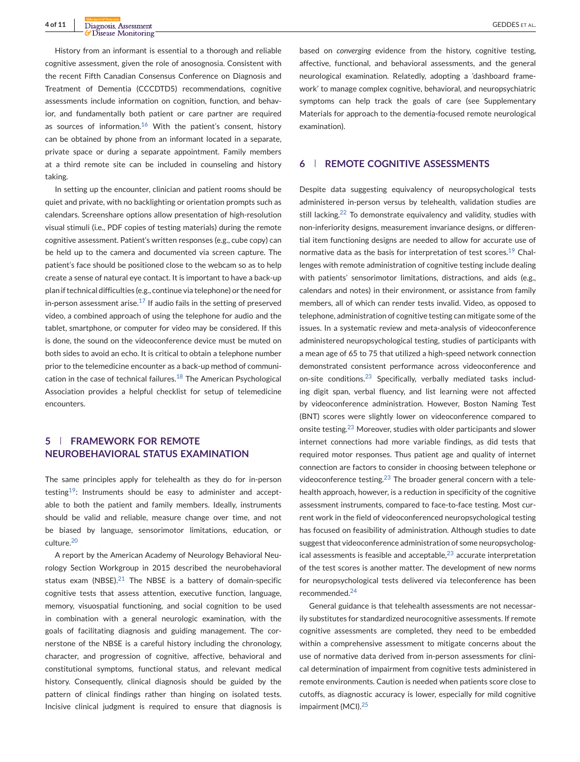History from an informant is essential to a thorough and reliable cognitive assessment, given the role of anosognosia. Consistent with the recent Fifth Canadian Consensus Conference on Diagnosis and Treatment of Dementia (CCCDTD5) recommendations, cognitive assessments include information on cognition, function, and behavior, and fundamentally both patient or care partner are required as sources of information.<sup>[16](#page-8-0)</sup> With the patient's consent, history can be obtained by phone from an informant located in a separate, private space or during a separate appointment. Family members at a third remote site can be included in counseling and history taking.

In setting up the encounter, clinician and patient rooms should be quiet and private, with no backlighting or orientation prompts such as calendars. Screenshare options allow presentation of high-resolution visual stimuli (i.e., PDF copies of testing materials) during the remote cognitive assessment. Patient's written responses (e.g., cube copy) can be held up to the camera and documented via screen capture. The patient's face should be positioned close to the webcam so as to help create a sense of natural eye contact. It is important to have a back-up plan if technical difficulties (e.g., continue via telephone) or the need for in-person assessment arise.<sup>[17](#page-9-0)</sup> If audio fails in the setting of preserved video, a combined approach of using the telephone for audio and the tablet, smartphone, or computer for video may be considered. If this is done, the sound on the videoconference device must be muted on both sides to avoid an echo. It is critical to obtain a telephone number prior to the telemedicine encounter as a back-up method of communication in the case of technical failures.[18](#page-9-0) The American Psychological Association provides a helpful checklist for setup of telemedicine encounters.

# **5 FRAMEWORK FOR REMOTE NEUROBEHAVIORAL STATUS EXAMINATION**

The same principles apply for telehealth as they do for in-person testing<sup>19</sup>: Instruments should be easy to administer and acceptable to both the patient and family members. Ideally, instruments should be valid and reliable, measure change over time, and not be biased by language, sensorimotor limitations, education, or culture.[20](#page-9-0)

A report by the American Academy of Neurology Behavioral Neurology Section Workgroup in 2015 described the neurobehavioral status exam (NBSE). $21$  The NBSE is a battery of domain-specific cognitive tests that assess attention, executive function, language, memory, visuospatial functioning, and social cognition to be used in combination with a general neurologic examination, with the goals of facilitating diagnosis and guiding management. The cornerstone of the NBSE is a careful history including the chronology, character, and progression of cognitive, affective, behavioral and constitutional symptoms, functional status, and relevant medical history. Consequently, clinical diagnosis should be guided by the pattern of clinical findings rather than hinging on isolated tests. Incisive clinical judgment is required to ensure that diagnosis is based on *converging* evidence from the history, cognitive testing, affective, functional, and behavioral assessments, and the general neurological examination. Relatedly, adopting a 'dashboard framework' to manage complex cognitive, behavioral, and neuropsychiatric symptoms can help track the goals of care (see Supplementary Materials for approach to the dementia-focused remote neurological examination).

# **6 REMOTE COGNITIVE ASSESSMENTS**

Despite data suggesting equivalency of neuropsychological tests administered in-person versus by telehealth, validation studies are still lacking.<sup>[22](#page-9-0)</sup> To demonstrate equivalency and validity, studies with non-inferiority designs, measurement invariance designs, or differential item functioning designs are needed to allow for accurate use of normative data as the basis for interpretation of test scores.<sup>[19](#page-9-0)</sup> Challenges with remote administration of cognitive testing include dealing with patients' sensorimotor limitations, distractions, and aids (e.g., calendars and notes) in their environment, or assistance from family members, all of which can render tests invalid. Video, as opposed to telephone, administration of cognitive testing can mitigate some of the issues. In a systematic review and meta-analysis of videoconference administered neuropsychological testing, studies of participants with a mean age of 65 to 75 that utilized a high-speed network connection demonstrated consistent performance across videoconference and on-site conditions.[23](#page-9-0) Specifically, verbally mediated tasks including digit span, verbal fluency, and list learning were not affected by videoconference administration. However, Boston Naming Test (BNT) scores were slightly lower on videoconference compared to onsite testing.[23](#page-9-0) Moreover, studies with older participants and slower internet connections had more variable findings, as did tests that required motor responses. Thus patient age and quality of internet connection are factors to consider in choosing between telephone or videoconference testing. $^{23}$  $^{23}$  $^{23}$  The broader general concern with a telehealth approach, however, is a reduction in specificity of the cognitive assessment instruments, compared to face-to-face testing. Most current work in the field of videoconferenced neuropsychological testing has focused on feasibility of administration. Although studies to date suggest that videoconference administration of some neuropsychological assessments is feasible and acceptable, $2<sup>3</sup>$  accurate interpretation of the test scores is another matter. The development of new norms for neuropsychological tests delivered via teleconference has been recommended.[24](#page-9-0)

General guidance is that telehealth assessments are not necessarily substitutes for standardized neurocognitive assessments. If remote cognitive assessments are completed, they need to be embedded within a comprehensive assessment to mitigate concerns about the use of normative data derived from in-person assessments for clinical determination of impairment from cognitive tests administered in remote environments. Caution is needed when patients score close to cutoffs, as diagnostic accuracy is lower, especially for mild cognitive impairment (MCI).[25](#page-9-0)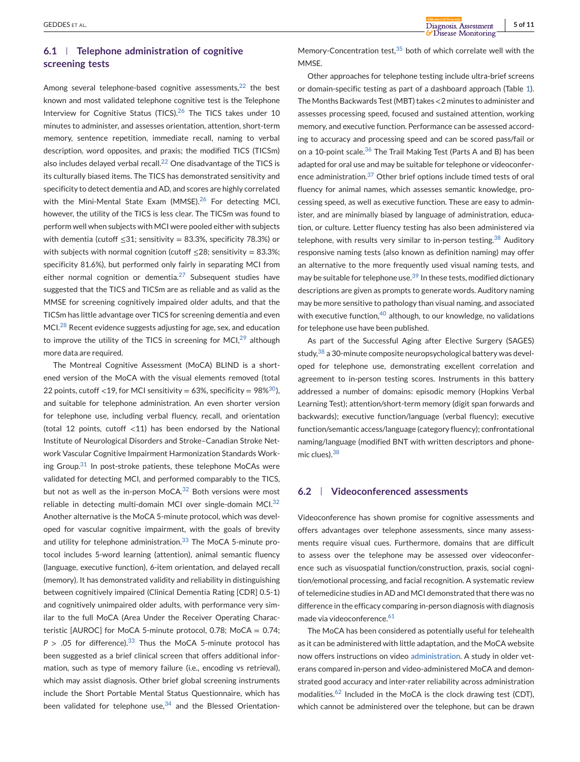# **6.1 Telephone administration of cognitive screening tests**

Among several telephone-based cognitive assessments, $22$  the best known and most validated telephone cognitive test is the Telephone Interview for Cognitive Status (TICS).<sup>[26](#page-9-0)</sup> The TICS takes under 10 minutes to administer, and assesses orientation, attention, short-term memory, sentence repetition, immediate recall, naming to verbal description, word opposites, and praxis; the modified TICS (TICSm) also includes delayed verbal recall. $^{22}$  $^{22}$  $^{22}$  One disadvantage of the TICS is its culturally biased items. The TICS has demonstrated sensitivity and specificity to detect dementia and AD, and scores are highly correlated with the Mini-Mental State Exam (MMSE).<sup>[26](#page-9-0)</sup> For detecting MCI, however, the utility of the TICS is less clear. The TICSm was found to perform well when subjects with MCI were pooled either with subjects with dementia (cutoff  $\leq$ 31; sensitivity = 83.3%, specificity 78.3%) or with subjects with normal cognition (cutoff  $\leq$ 28; sensitivity = 83.3%; specificity 81.6%), but performed only fairly in separating MCI from either normal cognition or dementia.<sup>[27](#page-9-0)</sup> Subsequent studies have suggested that the TICS and TICSm are as reliable and as valid as the MMSE for screening cognitively impaired older adults, and that the TICSm has little advantage over TICS for screening dementia and even MCI.[28](#page-9-0) Recent evidence suggests adjusting for age, sex, and education to improve the utility of the TICS in screening for  $MCI<sub>1</sub><sup>29</sup>$  $MCI<sub>1</sub><sup>29</sup>$  $MCI<sub>1</sub><sup>29</sup>$  although more data are required.

The Montreal Cognitive Assessment (MoCA) BLIND is a shortened version of the MoCA with the visual elements removed (total 22 points, cutoff <19, for MCI sensitivity = 63%, specificity =  $98\%^{30}$ ), and suitable for telephone administration. An even shorter version for telephone use, including verbal fluency, recall, and orientation (total 12 points, cutoff <11) has been endorsed by the National Institute of Neurological Disorders and Stroke–Canadian Stroke Network Vascular Cognitive Impairment Harmonization Standards Working Group. $31$  In post-stroke patients, these telephone MoCAs were validated for detecting MCI, and performed comparably to the TICS, but not as well as the in-person MoCA.<sup>[32](#page-9-0)</sup> Both versions were most reliable in detecting multi-domain MCI over single-domain MCI.<sup>[32](#page-9-0)</sup> Another alternative is the MoCA 5-minute protocol, which was developed for vascular cognitive impairment, with the goals of brevity and utility for telephone administration.<sup>[33](#page-9-0)</sup> The MoCA 5-minute protocol includes 5-word learning (attention), animal semantic fluency (language, executive function), 6-item orientation, and delayed recall (memory). It has demonstrated validity and reliability in distinguishing between cognitively impaired (Clinical Dementia Rating [CDR] 0.5-1) and cognitively unimpaired older adults, with performance very similar to the full MoCA (Area Under the Receiver Operating Characteristic [AUROC] for MoCA 5-minute protocol, 0.78; MoCA =  $0.74$ ;  $P > .05$  for difference).<sup>[33](#page-9-0)</sup> Thus the MoCA 5-minute protocol has been suggested as a brief clinical screen that offers additional information, such as type of memory failure (i.e., encoding vs retrieval), which may assist diagnosis. Other brief global screening instruments include the Short Portable Mental Status Questionnaire, which has been validated for telephone use, $34$  and the Blessed OrientationMemory-Concentration test.<sup>[35](#page-9-0)</sup> both of which correlate well with the MMSE.

Other approaches for telephone testing include ultra-brief screens or domain-specific testing as part of a dashboard approach (Table [1\)](#page-5-0). The Months Backwards Test (MBT) takes <2 minutes to administer and assesses processing speed, focused and sustained attention, working memory, and executive function. Performance can be assessed according to accuracy and processing speed and can be scored pass/fail or on a 10-point scale.<sup>[36](#page-9-0)</sup> The Trail Making Test (Parts A and B) has been adapted for oral use and may be suitable for telephone or videoconference administration.[37](#page-9-0) Other brief options include timed tests of oral fluency for animal names, which assesses semantic knowledge, processing speed, as well as executive function. These are easy to administer, and are minimally biased by language of administration, education, or culture. Letter fluency testing has also been administered via telephone, with results very similar to in-person testing.<sup>[38](#page-9-0)</sup> Auditory responsive naming tests (also known as definition naming) may offer an alternative to the more frequently used visual naming tests, and may be suitable for telephone use.<sup>[39](#page-9-0)</sup> In these tests, modified dictionary descriptions are given as prompts to generate words. Auditory naming may be more sensitive to pathology than visual naming, and associated with executive function.<sup>[40](#page-9-0)</sup> although, to our knowledge, no validations for telephone use have been published.

As part of the Successful Aging after Elective Surgery (SAGES) study,  $38$  a 30-minute composite neuropsychological battery was developed for telephone use, demonstrating excellent correlation and agreement to in-person testing scores. Instruments in this battery addressed a number of domains: episodic memory (Hopkins Verbal Learning Test); attention/short-term memory (digit span forwards and backwards); executive function/language (verbal fluency); executive function/semantic access/language (category fluency); confrontational naming/language (modified BNT with written descriptors and phone-mic clues).<sup>[38](#page-9-0)</sup>

# **6.2 Videoconferenced assessments**

Videoconference has shown promise for cognitive assessments and offers advantages over telephone assessments, since many assessments require visual cues. Furthermore, domains that are difficult to assess over the telephone may be assessed over videoconference such as visuospatial function/construction, praxis, social cognition/emotional processing, and facial recognition. A systematic review of telemedicine studies in AD and MCI demonstrated that there was no difference in the efficacy comparing in-person diagnosis with diagnosis made via videoconference.<sup>[61](#page-10-0)</sup>

The MoCA has been considered as potentially useful for telehealth as it can be administered with little adaptation, and the MoCA website now offers instructions on video [administration.](https://www.mocatest.org/remote-moca-testing/) A study in older veterans compared in-person and video-administered MoCA and demonstrated good accuracy and inter-rater reliability across administration modalities.<sup>[62](#page-10-0)</sup> Included in the MoCA is the clock drawing test (CDT), which cannot be administered over the telephone, but can be drawn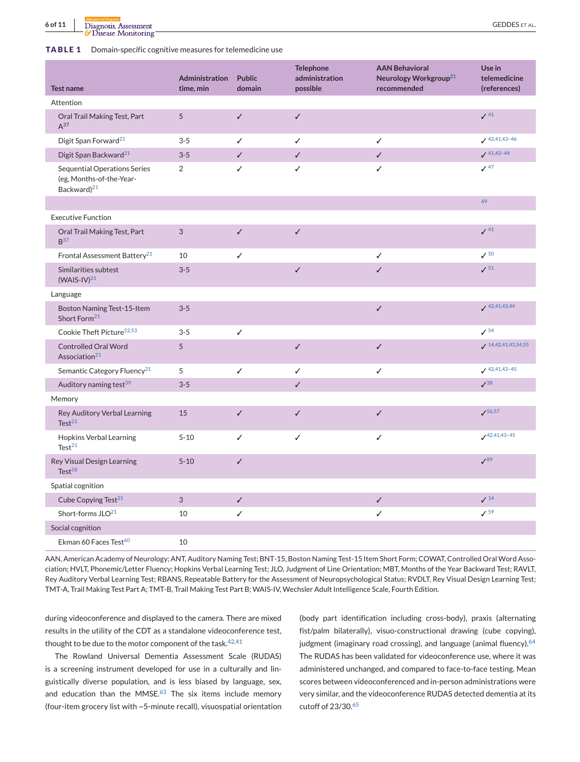<span id="page-5-0"></span>**6 of 11** Diagnosis, Assessment GEDDES ET AL.

#### **TABLE 1** Domain-specific cognitive measures for telemedicine use

| <b>Test name</b>                                                                           | Administration<br>time, min | <b>Public</b><br>domain | <b>Telephone</b><br>administration<br>possible | <b>AAN Behavioral</b><br>Neurology Workgroup <sup>21</sup><br>recommended | Use in<br>telemedicine<br>(references) |
|--------------------------------------------------------------------------------------------|-----------------------------|-------------------------|------------------------------------------------|---------------------------------------------------------------------------|----------------------------------------|
| Attention                                                                                  |                             |                         |                                                |                                                                           |                                        |
| Oral Trail Making Test, Part<br>$A^{37}$                                                   | 5                           | $\checkmark$            | $\checkmark$                                   |                                                                           | $\sqrt{41}$                            |
| Digit Span Forward <sup>21</sup>                                                           | $3 - 5$                     | $\checkmark$            | ✓                                              | $\checkmark$                                                              | $\sqrt{42,41,43-46}$                   |
| Digit Span Backward <sup>21</sup>                                                          | $3 - 5$                     | $\checkmark$            | $\checkmark$                                   | $\checkmark$                                                              | $\sqrt{41,43-44}$                      |
| <b>Sequential Operations Series</b><br>(eg, Months-of-the-Year-<br>Backward) <sup>21</sup> | $\overline{2}$              | ✓                       | ✓                                              | ✓                                                                         | $J$ <sup>47</sup>                      |
|                                                                                            |                             |                         |                                                |                                                                           | 49                                     |
| <b>Executive Function</b>                                                                  |                             |                         |                                                |                                                                           |                                        |
| Oral Trail Making Test, Part<br>B <sup>37</sup>                                            | 3                           | $\checkmark$            | $\checkmark$                                   |                                                                           | $J^{41}$                               |
| Frontal Assessment Battery <sup>21</sup>                                                   | 10                          | $\checkmark$            |                                                | $\checkmark$                                                              | J <sup>50</sup>                        |
| Similarities subtest<br>$(WAIS-IV)21$                                                      | $3 - 5$                     |                         | $\checkmark$                                   | $\checkmark$                                                              | $\sqrt{51}$                            |
| Language                                                                                   |                             |                         |                                                |                                                                           |                                        |
| Boston Naming Test-15-Item<br>Short Form <sup>21</sup>                                     | $3 - 5$                     |                         |                                                | $\checkmark$                                                              | $J$ 42,41,43,44                        |
| Cookie Theft Picture <sup>52,53</sup>                                                      | $3 - 5$                     | $\checkmark$            |                                                |                                                                           | $J$ 54                                 |
| <b>Controlled Oral Word</b><br>Association $21$                                            | 5                           |                         | $\checkmark$                                   | $\checkmark$                                                              | $J$ 14,42,41,43,54,55                  |
| Semantic Category Fluency <sup>21</sup>                                                    | 5                           | $\checkmark$            | ✓                                              | $\checkmark$                                                              | $\sqrt{42,41,43-45}$                   |
| Auditory naming test <sup>39</sup>                                                         | $3 - 5$                     |                         | $\checkmark$                                   |                                                                           | $\mathcal{I}^{38}$                     |
| Memory                                                                                     |                             |                         |                                                |                                                                           |                                        |
| Rey Auditory Verbal Learning<br>Test $^{21}$                                               | 15                          | $\checkmark$            | $\checkmark$                                   | ✓                                                                         | $J^{56,57}$                            |
| <b>Hopkins Verbal Learning</b><br>Test <sup>21</sup>                                       | $5 - 10$                    | ✓                       | ✓                                              | ✓                                                                         | $J$ <sup>42,41,43-45</sup>             |
| Rey Visual Design Learning<br>Test <sup>58</sup>                                           | $5 - 10$                    | $\checkmark$            |                                                |                                                                           | 189                                    |
| Spatial cognition                                                                          |                             |                         |                                                |                                                                           |                                        |
| Cube Copying Test <sup>21</sup>                                                            | 3                           | $\checkmark$            |                                                | $\checkmark$                                                              | J <sup>14</sup>                        |
| Short-forms JLO <sup>21</sup>                                                              | 10                          | ✓                       |                                                | ✓                                                                         | $V^{59}$                               |
| Social cognition                                                                           |                             |                         |                                                |                                                                           |                                        |
| Ekman 60 Faces Test <sup>60</sup>                                                          | 10                          |                         |                                                |                                                                           |                                        |

AAN, American Academy of Neurology; ANT, Auditory Naming Test; BNT-15, Boston Naming Test-15 Item Short Form; COWAT, Controlled Oral Word Association; HVLT, Phonemic/Letter Fluency; Hopkins Verbal Learning Test; JLO, Judgment of Line Orientation; MBT, Months of the Year Backward Test; RAVLT, Rey Auditory Verbal Learning Test; RBANS, Repeatable Battery for the Assessment of Neuropsychological Status; RVDLT, Rey Visual Design Learning Test; TMT-A, Trail Making Test Part A; TMT-B, Trail Making Test Part B; WAIS-IV, Wechsler Adult Intelligence Scale, Fourth Edition.

during videoconference and displayed to the camera. There are mixed results in the utility of the CDT as a standalone videoconference test, thought to be due to the motor component of the task. $42,41$ 

The Rowland Universal Dementia Assessment Scale (RUDAS) is a screening instrument developed for use in a culturally and linguistically diverse population, and is less biased by language, sex, and education than the MMSE. $63$  The six items include memory (four-item grocery list with ~5-minute recall), visuospatial orientation

(body part identification including cross-body), praxis (alternating fist/palm bilaterally), visuo-constructional drawing (cube copying), judgment (imaginary road crossing), and language (animal fluency).<sup>[64](#page-10-0)</sup> The RUDAS has been validated for videoconference use, where it was administered unchanged, and compared to face-to-face testing. Mean scores between videoconferenced and in-person administrations were very similar, and the videoconference RUDAS detected dementia at its cutoff of 23/30.[65](#page-10-0)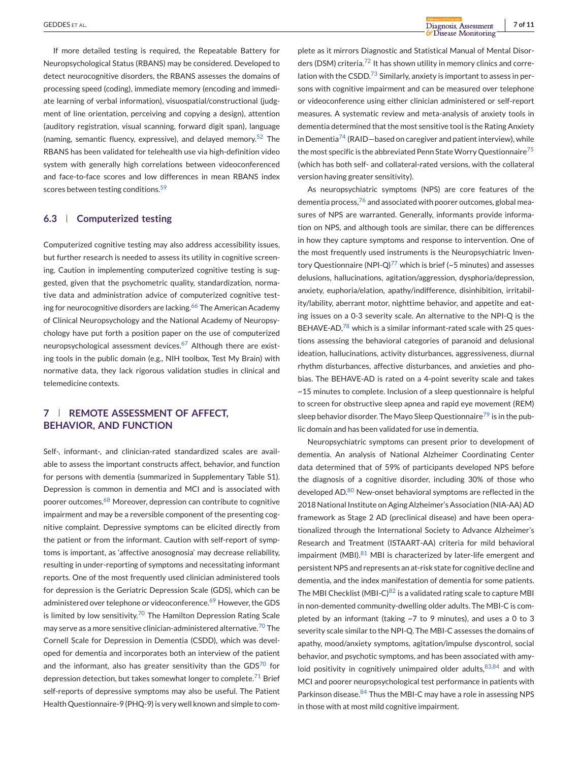If more detailed testing is required, the Repeatable Battery for Neuropsychological Status (RBANS) may be considered. Developed to detect neurocognitive disorders, the RBANS assesses the domains of processing speed (coding), immediate memory (encoding and immediate learning of verbal information), visuospatial/constructional (judgment of line orientation, perceiving and copying a design), attention (auditory registration, visual scanning, forward digit span), language (naming, semantic fluency, expressive), and delayed memor[y.52](#page-9-0) The RBANS has been validated for telehealth use via high-definition video system with generally high correlations between videoconferenced and face-to-face scores and low differences in mean RBANS index scores between testing conditions.<sup>[59](#page-10-0)</sup>

# **6.3 Computerized testing**

Computerized cognitive testing may also address accessibility issues, but further research is needed to assess its utility in cognitive screening. Caution in implementing computerized cognitive testing is suggested, given that the psychometric quality, standardization, normative data and administration advice of computerized cognitive test-ing for neurocognitive disorders are lacking.<sup>[66](#page-10-0)</sup> The American Academy of Clinical Neuropsychology and the National Academy of Neuropsychology have put forth a position paper on the use of computerized neuropsychological assessment devices.<sup>[67](#page-10-0)</sup> Although there are existing tools in the public domain (e.g., NIH toolbox, Test My Brain) with normative data, they lack rigorous validation studies in clinical and telemedicine contexts.

# **7 REMOTE ASSESSMENT OF AFFECT, BEHAVIOR, AND FUNCTION**

Self-, informant-, and clinician-rated standardized scales are available to assess the important constructs affect, behavior, and function for persons with dementia (summarized in Supplementary Table S1). Depression is common in dementia and MCI and is associated with poorer outcomes.[68](#page-10-0) Moreover, depression can contribute to cognitive impairment and may be a reversible component of the presenting cognitive complaint. Depressive symptoms can be elicited directly from the patient or from the informant. Caution with self-report of symptoms is important, as 'affective anosognosia' may decrease reliability, resulting in under-reporting of symptoms and necessitating informant reports. One of the most frequently used clinician administered tools for depression is the Geriatric Depression Scale (GDS), which can be administered over telephone or videoconference.<sup>[69](#page-10-0)</sup> However, the GDS is limited by low sensitivity.<sup>[70](#page-10-0)</sup> The Hamilton Depression Rating Scale may serve as a more sensitive clinician-administered alternative.<sup>[70](#page-10-0)</sup> The Cornell Scale for Depression in Dementia (CSDD), which was developed for dementia and incorporates both an interview of the patient and the informant, also has greater sensitivity than the  $GDS^{70}$  $GDS^{70}$  $GDS^{70}$  for depression detection, but takes somewhat longer to complete.<sup>[71](#page-10-0)</sup> Brief self-reports of depressive symptoms may also be useful. The Patient Health Questionnaire-9 (PHQ-9) is very well known and simple to complete as it mirrors Diagnostic and Statistical Manual of Mental Disor-ders (DSM) criteria.<sup>[72](#page-10-0)</sup> It has shown utility in memory clinics and corre-lation with the CSDD.<sup>[73](#page-10-0)</sup> Similarly, anxiety is important to assess in persons with cognitive impairment and can be measured over telephone or videoconference using either clinician administered or self-report measures. A systematic review and meta-analysis of anxiety tools in dementia determined that the most sensitive tool is the Rating Anxiety in Dementia<sup>74</sup> (RAID—based on caregiver and patient interview), while the most specific is the abbreviated Penn State Worry Questionnaire<sup>[75](#page-10-0)</sup> (which has both self- and collateral-rated versions, with the collateral version having greater sensitivity).

As neuropsychiatric symptoms (NPS) are core features of the dementia process, $76$  and associated with poorer outcomes, global measures of NPS are warranted. Generally, informants provide information on NPS, and although tools are similar, there can be differences in how they capture symptoms and response to intervention. One of the most frequently used instruments is the Neuropsychiatric Inven-tory Questionnaire (NPI-Q)<sup>[77](#page-10-0)</sup> which is brief (~5 minutes) and assesses delusions, hallucinations, agitation/aggression, dysphoria/depression, anxiety, euphoria/elation, apathy/indifference, disinhibition, irritability/lability, aberrant motor, nighttime behavior, and appetite and eating issues on a 0-3 severity scale. An alternative to the NPI-Q is the BEHAVE-AD,<sup>[78](#page-10-0)</sup> which is a similar informant-rated scale with 25 questions assessing the behavioral categories of paranoid and delusional ideation, hallucinations, activity disturbances, aggressiveness, diurnal rhythm disturbances, affective disturbances, and anxieties and phobias. The BEHAVE-AD is rated on a 4-point severity scale and takes ~15 minutes to complete. Inclusion of a sleep questionnaire is helpful to screen for obstructive sleep apnea and rapid eye movement (REM) sleep behavior disorder. The Mayo Sleep Questionnaire<sup>[79](#page-10-0)</sup> is in the public domain and has been validated for use in dementia.

Neuropsychiatric symptoms can present prior to development of dementia. An analysis of National Alzheimer Coordinating Center data determined that of 59% of participants developed NPS before the diagnosis of a cognitive disorder, including 30% of those who developed AD.<sup>[80](#page-10-0)</sup> New-onset behavioral symptoms are reflected in the 2018 National Institute on Aging Alzheimer's Association (NIA-AA) AD framework as Stage 2 AD (preclinical disease) and have been operationalized through the International Society to Advance Alzheimer's Research and Treatment (ISTAART-AA) criteria for mild behavioral impairment (MBI). $81$  MBI is characterized by later-life emergent and persistent NPS and represents an at-risk state for cognitive decline and dementia, and the index manifestation of dementia for some patients. The MBI Checklist (MBI-C) $82$  is a validated rating scale to capture MBI in non-demented community-dwelling older adults. The MBI-C is completed by an informant (taking ~7 to 9 minutes), and uses a 0 to 3 severity scale similar to the NPI-Q. The MBI-C assesses the domains of apathy, mood/anxiety symptoms, agitation/impulse dyscontrol, social behavior, and psychotic symptoms, and has been associated with amyloid positivity in cognitively unimpaired older adults, $83,84$  and with MCI and poorer neuropsychological test performance in patients with Parkinson disease.<sup>[84](#page-10-0)</sup> Thus the MBI-C may have a role in assessing NPS in those with at most mild cognitive impairment.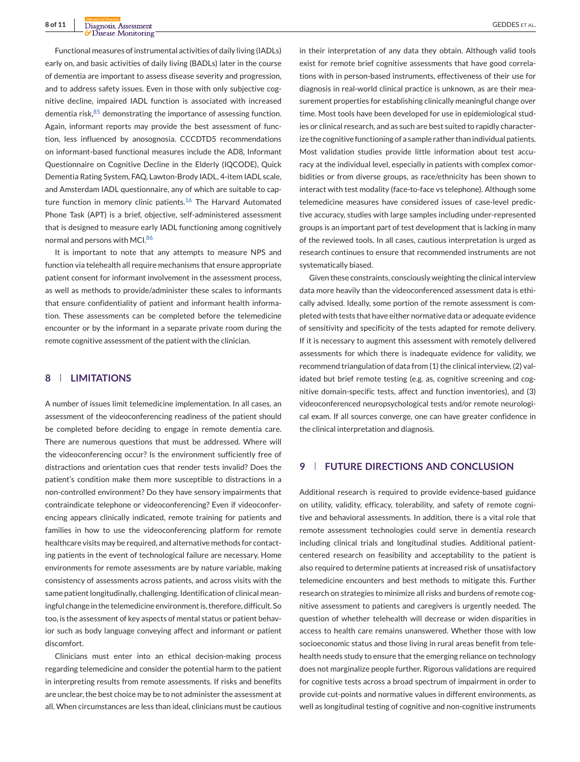Functional measures of instrumental activities of daily living (IADLs) early on, and basic activities of daily living (BADLs) later in the course of dementia are important to assess disease severity and progression, and to address safety issues. Even in those with only subjective cognitive decline, impaired IADL function is associated with increased dementia risk, $85$  demonstrating the importance of assessing function. Again, informant reports may provide the best assessment of function, less influenced by anosognosia. CCCDTD5 recommendations on informant-based functional measures include the AD8, Informant Questionnaire on Cognitive Decline in the Elderly (IQCODE), Quick Dementia Rating System, FAQ, Lawton-Brody IADL, 4-item IADL scale, and Amsterdam IADL questionnaire, any of which are suitable to cap-ture function in memory clinic patients.<sup>[16](#page-8-0)</sup> The Harvard Automated Phone Task (APT) is a brief, objective, self-administered assessment that is designed to measure early IADL functioning among cognitively normal and persons with MCI.[86](#page-10-0)

It is important to note that any attempts to measure NPS and function via telehealth all require mechanisms that ensure appropriate patient consent for informant involvement in the assessment process, as well as methods to provide/administer these scales to informants that ensure confidentiality of patient and informant health information. These assessments can be completed before the telemedicine encounter or by the informant in a separate private room during the remote cognitive assessment of the patient with the clinician.

### **8 LIMITATIONS**

A number of issues limit telemedicine implementation. In all cases, an assessment of the videoconferencing readiness of the patient should be completed before deciding to engage in remote dementia care. There are numerous questions that must be addressed. Where will the videoconferencing occur? Is the environment sufficiently free of distractions and orientation cues that render tests invalid? Does the patient's condition make them more susceptible to distractions in a non-controlled environment? Do they have sensory impairments that contraindicate telephone or videoconferencing? Even if videoconferencing appears clinically indicated, remote training for patients and families in how to use the videoconferencing platform for remote healthcare visits may be required, and alternative methods for contacting patients in the event of technological failure are necessary. Home environments for remote assessments are by nature variable, making consistency of assessments across patients, and across visits with the same patient longitudinally, challenging. Identification of clinical meaningful change in the telemedicine environment is, therefore, difficult. So too, is the assessment of key aspects of mental status or patient behavior such as body language conveying affect and informant or patient discomfort.

Clinicians must enter into an ethical decision-making process regarding telemedicine and consider the potential harm to the patient in interpreting results from remote assessments. If risks and benefits are unclear, the best choice may be to not administer the assessment at all. When circumstances are less than ideal, clinicians must be cautious

in their interpretation of any data they obtain. Although valid tools exist for remote brief cognitive assessments that have good correlations with in person-based instruments, effectiveness of their use for diagnosis in real-world clinical practice is unknown, as are their measurement properties for establishing clinically meaningful change over time. Most tools have been developed for use in epidemiological studies or clinical research, and as such are best suited to rapidly characterize the cognitive functioning of a sample rather than individual patients. Most validation studies provide little information about test accuracy at the individual level, especially in patients with complex comorbidities or from diverse groups, as race/ethnicity has been shown to interact with test modality (face-to-face vs telephone). Although some telemedicine measures have considered issues of case-level predictive accuracy, studies with large samples including under-represented groups is an important part of test development that is lacking in many of the reviewed tools. In all cases, cautious interpretation is urged as research continues to ensure that recommended instruments are not systematically biased.

Given these constraints, consciously weighting the clinical interview data more heavily than the videoconferenced assessment data is ethically advised. Ideally, some portion of the remote assessment is completed with tests that have either normative data or adequate evidence of sensitivity and specificity of the tests adapted for remote delivery. If it is necessary to augment this assessment with remotely delivered assessments for which there is inadequate evidence for validity, we recommend triangulation of data from (1) the clinical interview, (2) validated but brief remote testing (e.g. as, cognitive screening and cognitive domain-specific tests, affect and function inventories), and (3) videoconferenced neuropsychological tests and/or remote neurological exam. If all sources converge, one can have greater confidence in the clinical interpretation and diagnosis.

# **9 FUTURE DIRECTIONS AND CONCLUSION**

Additional research is required to provide evidence-based guidance on utility, validity, efficacy, tolerability, and safety of remote cognitive and behavioral assessments. In addition, there is a vital role that remote assessment technologies could serve in dementia research including clinical trials and longitudinal studies. Additional patientcentered research on feasibility and acceptability to the patient is also required to determine patients at increased risk of unsatisfactory telemedicine encounters and best methods to mitigate this. Further research on strategies to minimize all risks and burdens of remote cognitive assessment to patients and caregivers is urgently needed. The question of whether telehealth will decrease or widen disparities in access to health care remains unanswered. Whether those with low socioeconomic status and those living in rural areas benefit from telehealth needs study to ensure that the emerging reliance on technology does not marginalize people further. Rigorous validations are required for cognitive tests across a broad spectrum of impairment in order to provide cut-points and normative values in different environments, as well as longitudinal testing of cognitive and non-cognitive instruments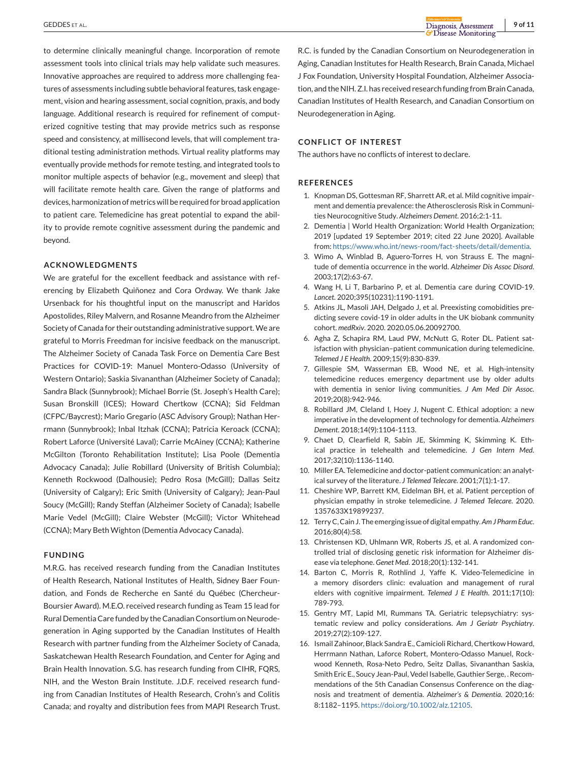<span id="page-8-0"></span>GEDDES ET AL. **9 of 11**<br> **9 of 11**<br> **9 of 11** R.C. is funded by the Canadian Consortium on Neurodegeneration in

to determine clinically meaningful change. Incorporation of remote assessment tools into clinical trials may help validate such measures. Innovative approaches are required to address more challenging features of assessments including subtle behavioral features, task engagement, vision and hearing assessment, social cognition, praxis, and body language. Additional research is required for refinement of computerized cognitive testing that may provide metrics such as response speed and consistency, at millisecond levels, that will complement traditional testing administration methods. Virtual reality platforms may eventually provide methods for remote testing, and integrated tools to monitor multiple aspects of behavior (e.g., movement and sleep) that will facilitate remote health care. Given the range of platforms and devices, harmonization of metrics will be required for broad application to patient care. Telemedicine has great potential to expand the ability to provide remote cognitive assessment during the pandemic and beyond.

## **ACKNOWLEDGMENTS**

We are grateful for the excellent feedback and assistance with referencing by Elizabeth Quiñonez and Cora Ordway. We thank Jake Ursenback for his thoughtful input on the manuscript and Haridos Apostolides, Riley Malvern, and Rosanne Meandro from the Alzheimer Society of Canada for their outstanding administrative support.We are grateful to Morris Freedman for incisive feedback on the manuscript. The Alzheimer Society of Canada Task Force on Dementia Care Best Practices for COVID-19: Manuel Montero-Odasso (University of Western Ontario); Saskia Sivananthan (Alzheimer Society of Canada); Sandra Black (Sunnybrook); Michael Borrie (St. Joseph's Health Care); Susan Bronskill (ICES); Howard Chertkow (CCNA); Sid Feldman (CFPC/Baycrest); Mario Gregario (ASC Advisory Group); Nathan Herrmann (Sunnybrook); Inbal Itzhak (CCNA); Patricia Keroack (CCNA); Robert Laforce (Université Laval); Carrie McAiney (CCNA); Katherine McGilton (Toronto Rehabilitation Institute); Lisa Poole (Dementia Advocacy Canada); Julie Robillard (University of British Columbia); Kenneth Rockwood (Dalhousie); Pedro Rosa (McGill); Dallas Seitz (University of Calgary); Eric Smith (University of Calgary); Jean-Paul Soucy (McGill); Randy Steffan (Alzheimer Society of Canada); Isabelle Marie Vedel (McGill); Claire Webster (McGill); Victor Whitehead (CCNA); Mary Beth Wighton (Dementia Advocacy Canada).

#### **FUNDING**

M.R.G. has received research funding from the Canadian Institutes of Health Research, National Institutes of Health, Sidney Baer Foundation, and Fonds de Recherche en Santé du Québec (Chercheur-Boursier Award). M.E.O. received research funding as Team 15 lead for Rural Dementia Care funded by the Canadian Consortium on Neurodegeneration in Aging supported by the Canadian Institutes of Health Research with partner funding from the Alzheimer Society of Canada, Saskatchewan Health Research Foundation, and Center for Aging and Brain Health Innovation. S.G. has research funding from CIHR, FQRS, NIH, and the Weston Brain Institute. J.D.F. received research funding from Canadian Institutes of Health Research, Crohn's and Colitis Canada; and royalty and distribution fees from MAPI Research Trust.

Aging, Canadian Institutes for Health Research, Brain Canada, Michael J Fox Foundation, University Hospital Foundation, Alzheimer Association, and the NIH. Z.I. has received research funding from Brain Canada, Canadian Institutes of Health Research, and Canadian Consortium on Neurodegeneration in Aging.

#### **CONFLICT OF INTEREST**

The authors have no conflicts of interest to declare.

#### **REFERENCES**

- 1. Knopman DS, Gottesman RF, Sharrett AR, et al. Mild cognitive impairment and dementia prevalence: the Atherosclerosis Risk in Communities Neurocognitive Study. *Alzheimers Dement*. 2016;2:1-11.
- 2. Dementia | World Health Organization: World Health Organization; 2019 [updated 19 September 2019; cited 22 June 2020]. Available from: [https://www.who.int/news-room/fact-sheets/detail/dementia.](https://www.who.int/news-room/fact-sheets/detail/dementia)
- 3. Wimo A, Winblad B, Aguero-Torres H, von Strauss E. The magnitude of dementia occurrence in the world. *Alzheimer Dis Assoc Disord*. 2003;17(2):63-67.
- 4. Wang H, Li T, Barbarino P, et al. Dementia care during COVID-19. *Lancet*. 2020;395(10231):1190-1191.
- 5. Atkins JL, Masoli JAH, Delgado J, et al. Preexisting comobidities predicting severe covid-19 in older adults in the UK biobank community cohort. *medRxiv*. 2020. 2020.05.06.20092700.
- 6. Agha Z, Schapira RM, Laud PW, McNutt G, Roter DL. Patient satisfaction with physician–patient communication during telemedicine. *Telemed J E Health*. 2009;15(9):830-839.
- 7. Gillespie SM, Wasserman EB, Wood NE, et al. High-intensity telemedicine reduces emergency department use by older adults with dementia in senior living communities. *J Am Med Dir Assoc*. 2019;20(8):942-946.
- 8. Robillard JM, Cleland I, Hoey J, Nugent C. Ethical adoption: a new imperative in the development of technology for dementia. *Alzheimers Dement*. 2018;14(9):1104-1113.
- 9. Chaet D, Clearfield R, Sabin JE, Skimming K, Skimming K. Ethical practice in telehealth and telemedicine. *J Gen Intern Med*. 2017;32(10):1136-1140.
- 10. Miller EA. Telemedicine and doctor-patient communication: an analytical survey of the literature. *J Telemed Telecare*. 2001;7(1):1-17.
- 11. Cheshire WP, Barrett KM, Eidelman BH, et al. Patient perception of physician empathy in stroke telemedicine. *J Telemed Telecare*. 2020. 1357633X19899237.
- 12. Terry C, Cain J. The emerging issue of digital empathy.*Am J Pharm Educ*. 2016;80(4):58.
- 13. Christensen KD, Uhlmann WR, Roberts JS, et al. A randomized controlled trial of disclosing genetic risk information for Alzheimer disease via telephone. *Genet Med*. 2018;20(1):132-141.
- 14. Barton C, Morris R, Rothlind J, Yaffe K. Video-Telemedicine in a memory disorders clinic: evaluation and management of rural elders with cognitive impairment. *Telemed J E Health*. 2011;17(10): 789-793.
- 15. Gentry MT, Lapid MI, Rummans TA. Geriatric telepsychiatry: systematic review and policy considerations. *Am J Geriatr Psychiatry*. 2019;27(2):109-127.
- 16. Ismail Zahinoor, Black Sandra E., Camicioli Richard, Chertkow Howard, Herrmann Nathan, Laforce Robert, Montero-Odasso Manuel, Rockwood Kenneth, Rosa-Neto Pedro, Seitz Dallas, Sivananthan Saskia, Smith Eric E., Soucy Jean-Paul, Vedel Isabelle, Gauthier Serge, . Recommendations of the 5th Canadian Consensus Conference on the diagnosis and treatment of dementia. *Alzheimer's & Dementia*. 2020;16: 8:1182–1195. [https://doi.org/10.1002/alz.12105.](https://doi.org/10.1002/alz.12105)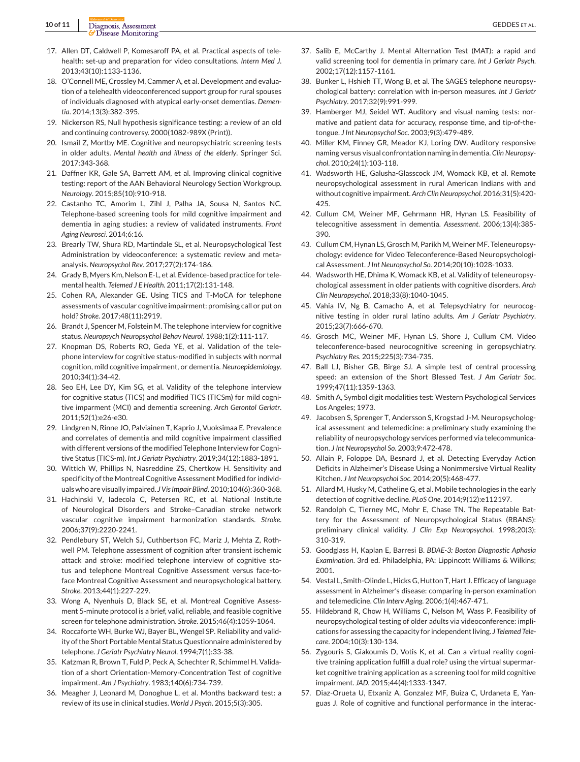- <span id="page-9-0"></span>17. Allen DT, Caldwell P, Komesaroff PA, et al. Practical aspects of telehealth: set-up and preparation for video consultations. *Intern Med J*. 2013;43(10):1133-1136.
- 18. O'Connell ME, Crossley M, Cammer A, et al. Development and evaluation of a telehealth videoconferenced support group for rural spouses of individuals diagnosed with atypical early-onset dementias. *Dementia*. 2014;13(3):382-395.
- 19. Nickerson RS, Null hypothesis significance testing: a review of an old and continuing controversy. 2000(1082-989X (Print)).
- 20. Ismail Z, Mortby ME. Cognitive and neuropsychiatric screening tests in older adults. *Mental health and illness of the elderly*. Springer Sci. 2017:343-368.
- 21. Daffner KR, Gale SA, Barrett AM, et al. Improving clinical cognitive testing: report of the AAN Behavioral Neurology Section Workgroup. *Neurology*. 2015;85(10):910-918.
- 22. Castanho TC, Amorim L, Zihl J, Palha JA, Sousa N, Santos NC. Telephone-based screening tools for mild cognitive impairment and dementia in aging studies: a review of validated instruments. *Front Aging Neurosci*. 2014;6:16.
- 23. Brearly TW, Shura RD, Martindale SL, et al. Neuropsychological Test Administration by videoconference: a systematic review and metaanalysis. *Neuropsychol Rev*. 2017;27(2):174-186.
- 24. Grady B, Myers Km, Nelson E-L, et al. Evidence-based practice for telemental health. *Telemed J E Health*. 2011;17(2):131-148.
- 25. Cohen RA, Alexander GE. Using TICS and T-MoCA for telephone assessments of vascular cognitive impairment: promising call or put on hold? *Stroke*. 2017;48(11):2919.
- 26. Brandt J, Spencer M, Folstein M. The telephone interview for cognitive status. *Neuropsych Neuropsychol Behav Neurol*. 1988;1(2):111-117.
- 27. Knopman DS, Roberts RO, Geda YE, et al. Validation of the telephone interview for cognitive status-modified in subjects with normal cognition, mild cognitive impairment, or dementia. *Neuroepidemiology*. 2010;34(1):34-42.
- 28. Seo EH, Lee DY, Kim SG, et al. Validity of the telephone interview for cognitive status (TICS) and modified TICS (TICSm) for mild cognitive imparment (MCI) and dementia screening. *Arch Gerontol Geriatr*. 2011;52(1):e26-e30.
- 29. Lindgren N, Rinne JO, Palviainen T, Kaprio J, Vuoksimaa E. Prevalence and correlates of dementia and mild cognitive impairment classified with different versions of the modified Telephone Interview for Cognitive Status (TICS-m). *Int J Geriatr Psychiatry*. 2019;34(12):1883-1891.
- 30. Wittich W, Phillips N, Nasreddine ZS, Chertkow H. Sensitivity and specificity of the Montreal Cognitive Assessment Modified for individuals who are visually impaired. *J Vis Impair Blind*. 2010;104(6):360-368.
- 31. Hachinski V, Iadecola C, Petersen RC, et al. National Institute of Neurological Disorders and Stroke–Canadian stroke network vascular cognitive impairment harmonization standards. *Stroke*. 2006;37(9):2220-2241.
- 32. Pendlebury ST, Welch SJ, Cuthbertson FC, Mariz J, Mehta Z, Rothwell PM. Telephone assessment of cognition after transient ischemic attack and stroke: modified telephone interview of cognitive status and telephone Montreal Cognitive Assessment versus face-toface Montreal Cognitive Assessment and neuropsychological battery. *Stroke*. 2013;44(1):227-229.
- 33. Wong A, Nyenhuis D, Black SE, et al. Montreal Cognitive Assessment 5-minute protocol is a brief, valid, reliable, and feasible cognitive screen for telephone administration. *Stroke*. 2015;46(4):1059-1064.
- 34. Roccaforte WH, Burke WJ, Bayer BL, Wengel SP. Reliability and validity of the Short Portable Mental Status Questionnaire administered by telephone. *J Geriatr Psychiatry Neurol*. 1994;7(1):33-38.
- 35. Katzman R, Brown T, Fuld P, Peck A, Schechter R, Schimmel H. Validation of a short Orientation-Memory-Concentration Test of cognitive impairment. *Am J Psychiatry*. 1983;140(6):734-739.
- 36. Meagher J, Leonard M, Donoghue L, et al. Months backward test: a review of its use in clinical studies. *World J Psych*. 2015;5(3):305.
- 37. Salib E, McCarthy J. Mental Alternation Test (MAT): a rapid and valid screening tool for dementia in primary care. *Int J Geriatr Psych*. 2002;17(12):1157-1161.
- 38. Bunker L, Hshieh TT, Wong B, et al. The SAGES telephone neuropsychological battery: correlation with in-person measures. *Int J Geriatr Psychiatry*. 2017;32(9):991-999.
- 39. Hamberger MJ, Seidel WT. Auditory and visual naming tests: normative and patient data for accuracy, response time, and tip-of-thetongue. *J Int Neuropsychol Soc*. 2003;9(3):479-489.
- 40. Miller KM, Finney GR, Meador KJ, Loring DW. Auditory responsive naming versus visual confrontation naming in dementia. *Clin Neuropsychol*. 2010;24(1):103-118.
- 41. Wadsworth HE, Galusha-Glasscock JM, Womack KB, et al. Remote neuropsychological assessment in rural American Indians with and without cognitive impairment. *Arch Clin Neuropsychol*. 2016;31(5):420- 425.
- 42. Cullum CM, Weiner MF, Gehrmann HR, Hynan LS. Feasibility of telecognitive assessment in dementia. *Assessment*. 2006;13(4):385- 390.
- 43. Cullum CM, Hynan LS, Grosch M, Parikh M, Weiner MF. Teleneuropsychology: evidence for Video Teleconference-Based Neuropsychological Assessment. *J Int Neuropsychol So*. 2014;20(10):1028-1033.
- 44. Wadsworth HE, Dhima K, Womack KB, et al. Validity of teleneuropsychological assessment in older patients with cognitive disorders. *Arch Clin Neuropsychol*. 2018;33(8):1040-1045.
- 45. Vahia IV, Ng B, Camacho A, et al. Telepsychiatry for neurocognitive testing in older rural latino adults. *Am J Geriatr Psychiatry*. 2015;23(7):666-670.
- 46. Grosch MC, Weiner MF, Hynan LS, Shore J, Cullum CM. Video teleconference-based neurocognitive screening in geropsychiatry. *Psychiatry Res*. 2015;225(3):734-735.
- 47. Ball LJ, Bisher GB, Birge SJ. A simple test of central processing speed: an extension of the Short Blessed Test. *J Am Geriatr Soc*. 1999;47(11):1359-1363.
- 48. Smith A, Symbol digit modalities test: Western Psychological Services Los Angeles; 1973.
- 49. Jacobsen S, Sprenger T, Andersson S, Krogstad J-M. Neuropsychological assessment and telemedicine: a preliminary study examining the reliability of neuropsychology services performed via telecommunication. *J Int Neuropsychol So*. 2003;9:472-478.
- 50. Allain P, Foloppe DA, Besnard J, et al. Detecting Everyday Action Deficits in Alzheimer's Disease Using a Nonimmersive Virtual Reality Kitchen. *J Int Neuropsychol Soc*. 2014;20(5):468-477.
- 51. Allard M, Husky M, Catheline G, et al. Mobile technologies in the early detection of cognitive decline. *PLoS One*. 2014;9(12):e112197.
- 52. Randolph C, Tierney MC, Mohr E, Chase TN. The Repeatable Battery for the Assessment of Neuropsychological Status (RBANS): preliminary clinical validity. *J Clin Exp Neuropsychol*. 1998;20(3): 310-319.
- 53. Goodglass H, Kaplan E, Barresi B. *BDAE-3: Boston Diagnostic Aphasia Examination*. 3rd ed. Philadelphia, PA: Lippincott Williams & Wilkins; 2001.
- 54. Vestal L, Smith-Olinde L, Hicks G, Hutton T, Hart J. Efficacy of language assessment in Alzheimer's disease: comparing in-person examination and telemedicine. *Clin Interv Aging*. 2006;1(4):467-471.
- 55. Hildebrand R, Chow H, Williams C, Nelson M, Wass P. Feasibility of neuropsychological testing of older adults via videoconference: implications for assessing the capacity for independent living. *J Telemed Telecare*. 2004;10(3):130-134.
- 56. Zygouris S, Giakoumis D, Votis K, et al. Can a virtual reality cognitive training application fulfill a dual role? using the virtual supermarket cognitive training application as a screening tool for mild cognitive impairment. *JAD*. 2015;44(4):1333-1347.
- 57. Diaz-Orueta U, Etxaniz A, Gonzalez MF, Buiza C, Urdaneta E, Yanguas J. Role of cognitive and functional performance in the interac-